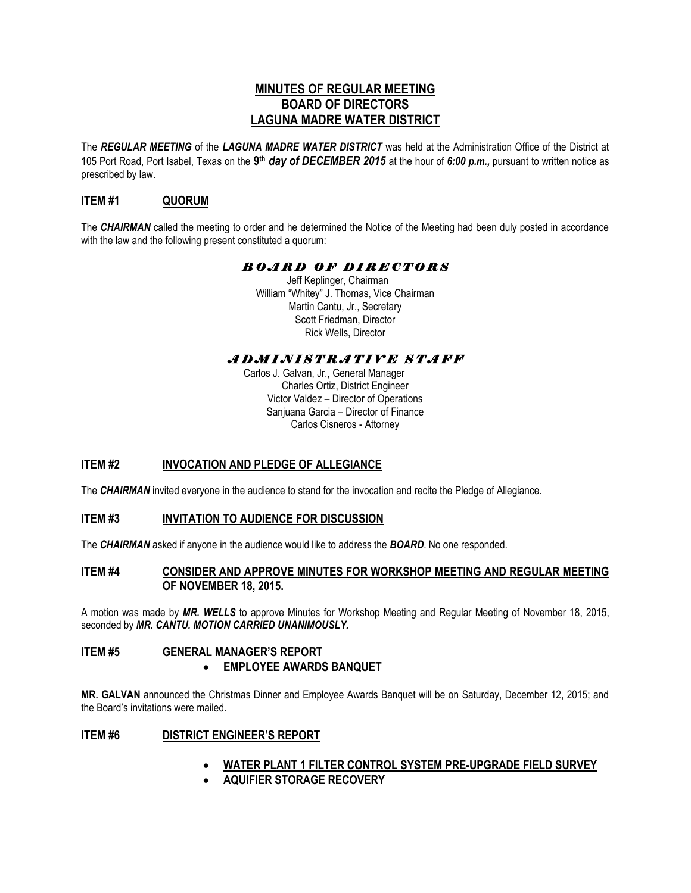# **MINUTES OF REGULAR MEETING BOARD OF DIRECTORS LAGUNA MADRE WATER DISTRICT**

The *REGULAR MEETING* of the *LAGUNA MADRE WATER DISTRICT* was held at the Administration Office of the District at 105 Port Road, Port Isabel, Texas on the **9 th** *day of DECEMBER 2015* at the hour of *6:00 p.m.,* pursuant to written notice as prescribed by law.

# **ITEM #1 QUORUM**

The *CHAIRMAN* called the meeting to order and he determined the Notice of the Meeting had been duly posted in accordance with the law and the following present constituted a quorum:

# *B O A R D O F D I R E C T O R S*

Jeff Keplinger, Chairman William "Whitey" J. Thomas, Vice Chairman Martin Cantu, Jr., Secretary Scott Friedman, Director Rick Wells, Director

# *A D M I N I S T R A T I V E S T A F F*

 Carlos J. Galvan, Jr., General Manager Charles Ortiz, District Engineer Victor Valdez – Director of Operations Sanjuana Garcia – Director of Finance Carlos Cisneros - Attorney

# **ITEM #2 INVOCATION AND PLEDGE OF ALLEGIANCE**

The *CHAIRMAN* invited everyone in the audience to stand for the invocation and recite the Pledge of Allegiance.

# **ITEM #3 INVITATION TO AUDIENCE FOR DISCUSSION**

The *CHAIRMAN* asked if anyone in the audience would like to address the *BOARD*. No one responded.

# **ITEM #4 CONSIDER AND APPROVE MINUTES FOR WORKSHOP MEETING AND REGULAR MEETING OF NOVEMBER 18, 2015.**

A motion was made by *MR. WELLS* to approve Minutes for Workshop Meeting and Regular Meeting of November 18, 2015, seconded by *MR. CANTU. MOTION CARRIED UNANIMOUSLY.* 

# **ITEM #5 GENERAL MANAGER'S REPORT EMPLOYEE AWARDS BANQUET**

**MR. GALVAN** announced the Christmas Dinner and Employee Awards Banquet will be on Saturday, December 12, 2015; and the Board's invitations were mailed.

# **ITEM #6 DISTRICT ENGINEER'S REPORT**

- **WATER PLANT 1 FILTER CONTROL SYSTEM PRE-UPGRADE FIELD SURVEY**
- **AQUIFIER STORAGE RECOVERY**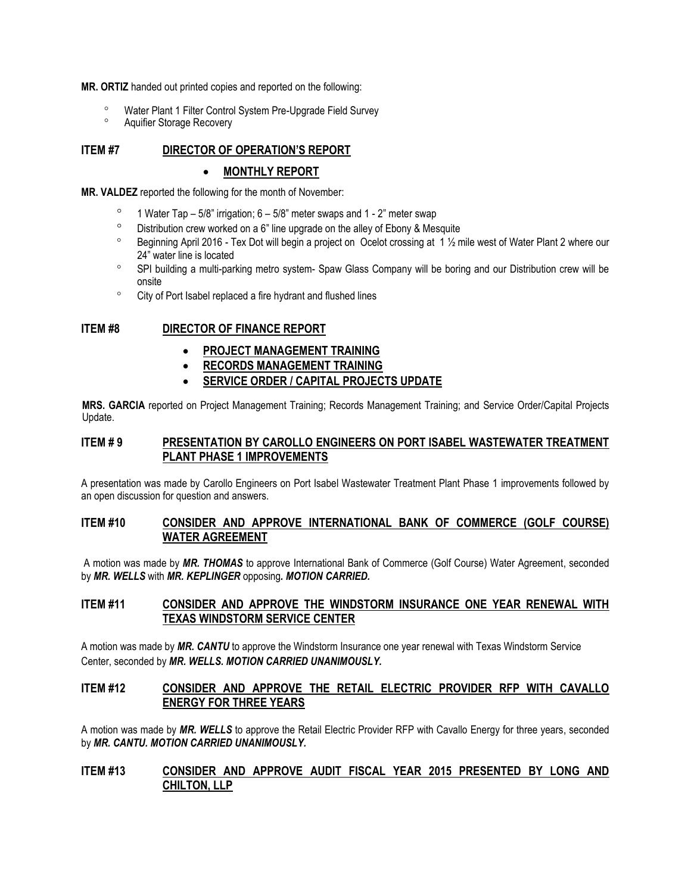**MR. ORTIZ** handed out printed copies and reported on the following:

- Water Plant 1 Filter Control System Pre-Upgrade Field Survey
- Aquifier Storage Recovery

## **ITEM #7 DIRECTOR OF OPERATION'S REPORT**

#### **MONTHLY REPORT**

**MR. VALDEZ** reported the following for the month of November:

- <sup>o</sup> 1 Water Tap 5/8" irrigation;  $6 5/8$ " meter swaps and 1 2" meter swap
- $\degree$  Distribution crew worked on a 6" line upgrade on the alley of Ebony & Mesquite
- $\degree$  Beginning April 2016 Tex Dot will begin a project on Ocelot crossing at 1  $\frac{1}{2}$  mile west of Water Plant 2 where our 24" water line is located
- SPI building a multi-parking metro system- Spaw Glass Company will be boring and our Distribution crew will be onsite
- <sup>o</sup> City of Port Isabel replaced a fire hydrant and flushed lines

# **ITEM #8 DIRECTOR OF FINANCE REPORT**

- **PROJECT MANAGEMENT TRAINING**
- **RECORDS MANAGEMENT TRAINING**
- **SERVICE ORDER / CAPITAL PROJECTS UPDATE**

**MRS. GARCIA** reported on Project Management Training; Records Management Training; and Service Order/Capital Projects Update.

### **ITEM # 9 PRESENTATION BY CAROLLO ENGINEERS ON PORT ISABEL WASTEWATER TREATMENT PLANT PHASE 1 IMPROVEMENTS**

A presentation was made by Carollo Engineers on Port Isabel Wastewater Treatment Plant Phase 1 improvements followed by an open discussion for question and answers.

### **ITEM #10 CONSIDER AND APPROVE INTERNATIONAL BANK OF COMMERCE (GOLF COURSE) WATER AGREEMENT**

A motion was made by *MR. THOMAS* to approve International Bank of Commerce (Golf Course) Water Agreement, seconded by *MR. WELLS* with *MR. KEPLINGER* opposing*. MOTION CARRIED.* 

# **ITEM #11 CONSIDER AND APPROVE THE WINDSTORM INSURANCE ONE YEAR RENEWAL WITH TEXAS WINDSTORM SERVICE CENTER**

A motion was made by *MR. CANTU* to approve the Windstorm Insurance one year renewal with Texas Windstorm Service Center, seconded by *MR. WELLS. MOTION CARRIED UNANIMOUSLY.* 

# **ITEM #12 CONSIDER AND APPROVE THE RETAIL ELECTRIC PROVIDER RFP WITH CAVALLO ENERGY FOR THREE YEARS**

A motion was made by *MR. WELLS* to approve the Retail Electric Provider RFP with Cavallo Energy for three years, seconded by *MR. CANTU. MOTION CARRIED UNANIMOUSLY.* 

### **ITEM #13 CONSIDER AND APPROVE AUDIT FISCAL YEAR 2015 PRESENTED BY LONG AND CHILTON, LLP**